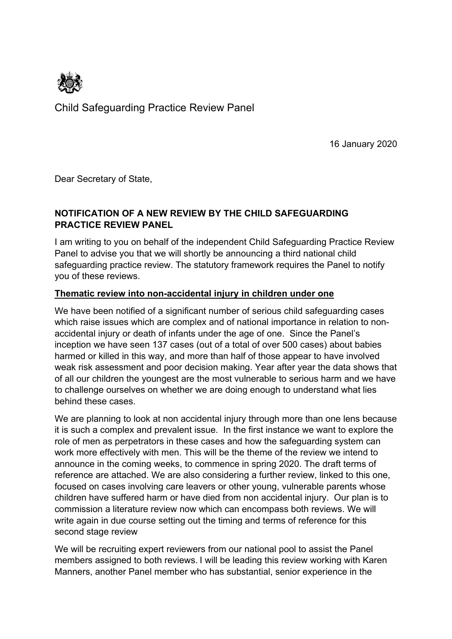

Child Safeguarding Practice Review Panel

16 January 2020

Dear Secretary of State,

## **NOTIFICATION OF A NEW REVIEW BY THE CHILD SAFEGUARDING PRACTICE REVIEW PANEL**

I am writing to you on behalf of the independent Child Safeguarding Practice Review Panel to advise you that we will shortly be announcing a third national child safeguarding practice review. The statutory framework requires the Panel to notify you of these reviews.

#### **Thematic review into non-accidental injury in children under one**

We have been notified of a significant number of serious child safeguarding cases which raise issues which are complex and of national importance in relation to nonaccidental injury or death of infants under the age of one. Since the Panel's inception we have seen 137 cases (out of a total of over 500 cases) about babies harmed or killed in this way, and more than half of those appear to have involved weak risk assessment and poor decision making. Year after year the data shows that of all our children the youngest are the most vulnerable to serious harm and we have to challenge ourselves on whether we are doing enough to understand what lies behind these cases.

We are planning to look at non accidental injury through more than one lens because it is such a complex and prevalent issue. In the first instance we want to explore the role of men as perpetrators in these cases and how the safeguarding system can work more effectively with men. This will be the theme of the review we intend to announce in the coming weeks, to commence in spring 2020. The draft terms of reference are attached. We are also considering a further review, linked to this one, focused on cases involving care leavers or other young, vulnerable parents whose children have suffered harm or have died from non accidental injury. Our plan is to commission a literature review now which can encompass both reviews. We will write again in due course setting out the timing and terms of reference for this second stage review

We will be recruiting expert reviewers from our national pool to assist the Panel members assigned to both reviews. I will be leading this review working with Karen Manners, another Panel member who has substantial, senior experience in the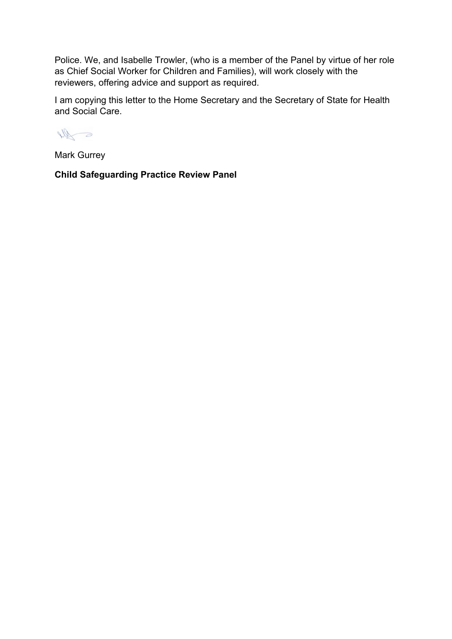Police. We, and Isabelle Trowler, (who is a member of the Panel by virtue of her role as Chief Social Worker for Children and Families), will work closely with the reviewers, offering advice and support as required.

I am copying this letter to the Home Secretary and the Secretary of State for Health and Social Care.

Ne a

Mark Gurrey

**Child Safeguarding Practice Review Panel**